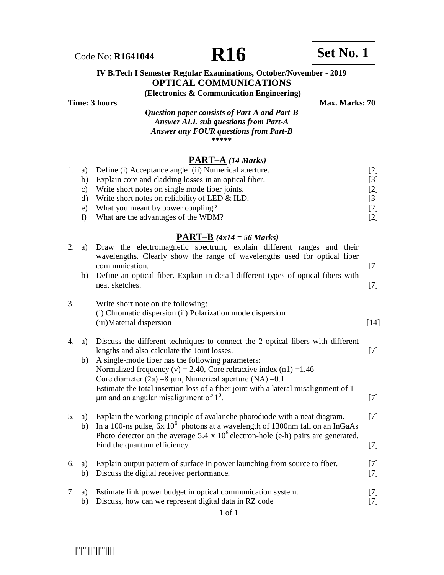Code No: **R1641044 R16 R16 Set No. 1** 

## **IV B.Tech I Semester Regular Examinations, October/November - 2019 OPTICAL COMMUNICATIONS**

**(Electronics & Communication Engineering)**

*Question paper consists of Part-A and Part-B Answer ALL sub questions from Part-A Answer any FOUR questions from Part-B* **\*\*\*\*\***

#### **PART–A** *(14 Marks)*

|                 | 1. a) Define (i) Acceptance angle (ii) Numerical aperture. | [2] |
|-----------------|------------------------------------------------------------|-----|
| b)              | Explain core and cladding losses in an optical fiber.      | [3] |
| $\mathcal{C}$ ) | Write short notes on single mode fiber joints.             | [2] |
| d)              | Write short notes on reliability of LED $&$ ILD.           | [3] |
| $e$ )           | What you meant by power coupling?                          | [2] |
|                 | What are the advantages of the WDM?                        | [2] |

## **PART–B** *(4x14 = 56 Marks)*

| a)       | Draw the electromagnetic spectrum, explain different ranges and their<br>wavelengths. Clearly show the range of wavelengths used for optical fiber             |                                                                                                                                                                                                                                                                                                                                                                                                                      |
|----------|----------------------------------------------------------------------------------------------------------------------------------------------------------------|----------------------------------------------------------------------------------------------------------------------------------------------------------------------------------------------------------------------------------------------------------------------------------------------------------------------------------------------------------------------------------------------------------------------|
|          |                                                                                                                                                                | $[7]$                                                                                                                                                                                                                                                                                                                                                                                                                |
|          | neat sketches.                                                                                                                                                 | $[7]$                                                                                                                                                                                                                                                                                                                                                                                                                |
|          | Write short note on the following:<br>(i) Chromatic dispersion (ii) Polarization mode dispersion<br>(iii)Material dispersion                                   | $[14]$                                                                                                                                                                                                                                                                                                                                                                                                               |
|          |                                                                                                                                                                |                                                                                                                                                                                                                                                                                                                                                                                                                      |
|          |                                                                                                                                                                | $[7]$                                                                                                                                                                                                                                                                                                                                                                                                                |
| b)       | A single-mode fiber has the following parameters:                                                                                                              |                                                                                                                                                                                                                                                                                                                                                                                                                      |
|          | Normalized frequency (v) = 2.40, Core refractive index (n1) = $1.46$                                                                                           |                                                                                                                                                                                                                                                                                                                                                                                                                      |
|          | Core diameter (2a) = 8 $\mu$ m, Numerical aperture (NA) = 0.1                                                                                                  |                                                                                                                                                                                                                                                                                                                                                                                                                      |
|          | $\mu$ m and an angular misalignment of $1^0$ .                                                                                                                 | $[7]$                                                                                                                                                                                                                                                                                                                                                                                                                |
| a)<br>b) | Explain the working principle of avalanche photodiode with a neat diagram.<br>In a 100-ns pulse, $6x 10^6$ photons at a wavelength of 1300nm fall on an InGaAs | $[7]$                                                                                                                                                                                                                                                                                                                                                                                                                |
|          | Find the quantum efficiency.                                                                                                                                   | $[7]$                                                                                                                                                                                                                                                                                                                                                                                                                |
| a)       | Explain output pattern of surface in power launching from source to fiber.                                                                                     | $[7]$                                                                                                                                                                                                                                                                                                                                                                                                                |
| b)       | Discuss the digital receiver performance.                                                                                                                      | $[7]$                                                                                                                                                                                                                                                                                                                                                                                                                |
| a)       | Estimate link power budget in optical communication system.                                                                                                    | $[7]$                                                                                                                                                                                                                                                                                                                                                                                                                |
| b)       | Discuss, how can we represent digital data in RZ code                                                                                                          | $[7]$                                                                                                                                                                                                                                                                                                                                                                                                                |
|          | b)<br>a)                                                                                                                                                       | communication.<br>Define an optical fiber. Explain in detail different types of optical fibers with<br>Discuss the different techniques to connect the 2 optical fibers with different<br>lengths and also calculate the Joint losses.<br>Estimate the total insertion loss of a fiber joint with a lateral misalignment of 1<br>Photo detector on the average 5.4 x $10^6$ electron-hole (e-h) pairs are generated. |

1 of 1

|''|'''||''||'''||||

**Time: 3 hours** Max. Marks: 70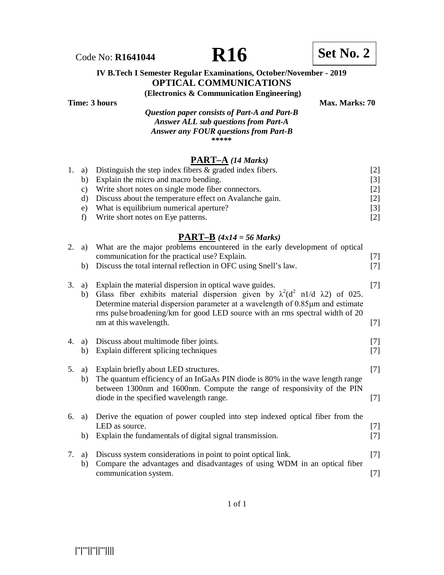Code No: **R1641044 R16 Set No. 2**

## **IV B.Tech I Semester Regular Examinations, October/November - 2019 OPTICAL COMMUNICATIONS**

**(Electronics & Communication Engineering)**

**Time: 3 hours** Max. Marks: 70

*Question paper consists of Part-A and Part-B Answer ALL sub questions from Part-A Answer any FOUR questions from Part-B* **\*\*\*\*\***

## **PART–A** *(14 Marks)*

|    | 1. a) Distinguish the step index fibers $\&$ graded index fibers. | [2]   |
|----|-------------------------------------------------------------------|-------|
| b) | Explain the micro and macro bending.                              | [3]   |
| C) | Write short notes on single mode fiber connectors.                | [2]   |
| d) | Discuss about the temperature effect on Avalanche gain.           | $[2]$ |
| e) | What is equilibrium numerical aperture?                           | [3]   |
| f) | Write short notes on Eye patterns.                                | [2]   |
|    |                                                                   |       |

## **PART–B** *(4x14 = 56 Marks)*

| 2. | a)<br>b) | What are the major problems encountered in the early development of optical<br>communication for the practical use? Explain.<br>Discuss the total internal reflection in OFC using Snell's law.                                                                                                                                                          | $[7]$<br>$[7]$ |
|----|----------|----------------------------------------------------------------------------------------------------------------------------------------------------------------------------------------------------------------------------------------------------------------------------------------------------------------------------------------------------------|----------------|
| 3. | a)<br>b) | Explain the material dispersion in optical wave guides.<br>Glass fiber exhibits material dispersion given by $\lambda^2(d^2 \text{ n1}/d \lambda 2)$ of 025.<br>Determine material dispersion parameter at a wavelength of 0.85µm and estimate<br>rms pulse broadening/km for good LED source with an rms spectral width of 20<br>nm at this wavelength. | $[7]$<br>$[7]$ |
| 4. | a)<br>b) | Discuss about multimode fiber joints.<br>Explain different splicing techniques                                                                                                                                                                                                                                                                           | $[7]$<br>$[7]$ |
| 5. | a)<br>b) | Explain briefly about LED structures.<br>The quantum efficiency of an InGaAs PIN diode is 80% in the wave length range<br>between 1300nm and 1600nm. Compute the range of responsivity of the PIN<br>diode in the specified wavelength range.                                                                                                            | $[7]$<br>$[7]$ |
| 6. | a)<br>b) | Derive the equation of power coupled into step indexed optical fiber from the<br>LED as source.<br>Explain the fundamentals of digital signal transmission.                                                                                                                                                                                              | $[7]$<br>$[7]$ |
| 7. | a)<br>b) | Discuss system considerations in point to point optical link.<br>Compare the advantages and disadvantages of using WDM in an optical fiber<br>communication system.                                                                                                                                                                                      | $[7]$<br>$[7]$ |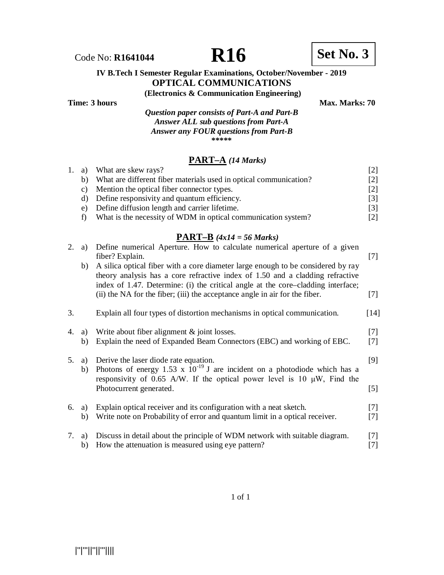Code No: **R1641044 R16 Set No. 3**

### **IV B.Tech I Semester Regular Examinations, October/November - 2019 OPTICAL COMMUNICATIONS**

**(Electronics & Communication Engineering)**

**Time: 3 hours** Max. Marks: 70

*Question paper consists of Part-A and Part-B Answer ALL sub questions from Part-A Answer any FOUR questions from Part-B* **\*\*\*\*\***

## **PART–A** *(14 Marks)*

|    |                                                                   | 121                 |
|----|-------------------------------------------------------------------|---------------------|
| b) | What are different fiber materials used in optical communication? | <u>[2]</u>          |
| C) | Mention the optical fiber connector types.                        |                     |
|    | Define responsivity and quantum efficiency.                       |                     |
| e) | Define diffusion length and carrier lifetime.                     | $\lceil 3 \rceil$   |
|    | What is the necessity of WDM in optical communication system?     | <u>[2]</u>          |
|    | 1. a)                                                             | What are skew rays? |

## **PART–B** *(4x14 = 56 Marks)*

| 2. | a)       | Define numerical Aperture. How to calculate numerical aperture of a given<br>fiber? Explain.                                                                                                                                                          | $[7]$          |
|----|----------|-------------------------------------------------------------------------------------------------------------------------------------------------------------------------------------------------------------------------------------------------------|----------------|
|    | b)       | A silica optical fiber with a core diameter large enough to be considered by ray<br>theory analysis has a core refractive index of 1.50 and a cladding refractive<br>index of 1.47. Determine: (i) the critical angle at the core-cladding interface; |                |
|    |          | (ii) the NA for the fiber; (iii) the acceptance angle in air for the fiber.                                                                                                                                                                           | $[7]$          |
| 3. |          | Explain all four types of distortion mechanisms in optical communication.                                                                                                                                                                             | $[14]$         |
| 4. | a)<br>b) | Write about fiber alignment $\&$ joint losses.<br>Explain the need of Expanded Beam Connectors (EBC) and working of EBC.                                                                                                                              | $[7]$<br>$[7]$ |
| 5. | a)<br>b) | Derive the laser diode rate equation.<br>Photons of energy 1.53 x $10^{-19}$ J are incident on a photodiode which has a<br>responsivity of 0.65 A/W. If the optical power level is 10 $\mu$ W, Find the                                               | [9]            |
|    |          | Photocurrent generated.                                                                                                                                                                                                                               | $[5]$          |
| 6. | a)<br>b) | Explain optical receiver and its configuration with a neat sketch.<br>Write note on Probability of error and quantum limit in a optical receiver.                                                                                                     | $[7]$<br>$[7]$ |
| 7. | a)<br>b) | Discuss in detail about the principle of WDM network with suitable diagram.<br>How the attenuation is measured using eye pattern?                                                                                                                     | $[7]$<br>$[7]$ |

|''|'''||''||'''||||